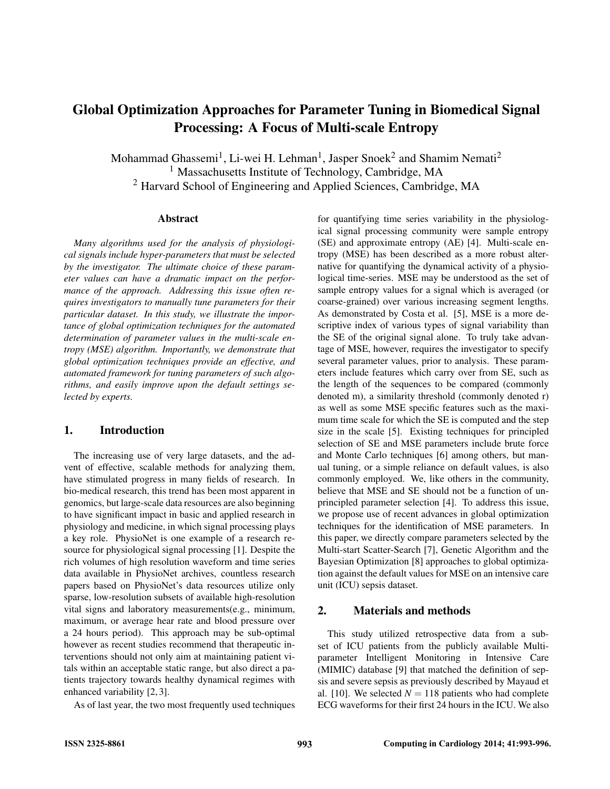# Global Optimization Approaches for Parameter Tuning in Biomedical Signal Processing: A Focus of Multi-scale Entropy

Mohammad Ghassemi $^1$ , Li-wei H. Lehman $^1$ , Jasper Snoek $^2$  and Shamim Nemati $^2$ <sup>1</sup> Massachusetts Institute of Technology, Cambridge, MA <sup>2</sup> Harvard School of Engineering and Applied Sciences, Cambridge, MA

#### Abstract

*Many algorithms used for the analysis of physiological signals include hyper-parameters that must be selected by the investigator. The ultimate choice of these parameter values can have a dramatic impact on the performance of the approach. Addressing this issue often requires investigators to manually tune parameters for their particular dataset. In this study, we illustrate the importance of global optimization techniques for the automated determination of parameter values in the multi-scale entropy (MSE) algorithm. Importantly, we demonstrate that global optimization techniques provide an effective, and automated framework for tuning parameters of such algorithms, and easily improve upon the default settings selected by experts.*

## 1. Introduction

The increasing use of very large datasets, and the advent of effective, scalable methods for analyzing them, have stimulated progress in many fields of research. In bio-medical research, this trend has been most apparent in genomics, but large-scale data resources are also beginning to have significant impact in basic and applied research in physiology and medicine, in which signal processing plays a key role. PhysioNet is one example of a research resource for physiological signal processing [1]. Despite the rich volumes of high resolution waveform and time series data available in PhysioNet archives, countless research papers based on PhysioNet's data resources utilize only sparse, low-resolution subsets of available high-resolution vital signs and laboratory measurements(e.g., minimum, maximum, or average hear rate and blood pressure over a 24 hours period). This approach may be sub-optimal however as recent studies recommend that therapeutic interventions should not only aim at maintaining patient vitals within an acceptable static range, but also direct a patients trajectory towards healthy dynamical regimes with enhanced variability [2, 3].

As of last year, the two most frequently used techniques

for quantifying time series variability in the physiological signal processing community were sample entropy (SE) and approximate entropy (AE) [4]. Multi-scale entropy (MSE) has been described as a more robust alternative for quantifying the dynamical activity of a physiological time-series. MSE may be understood as the set of sample entropy values for a signal which is averaged (or coarse-grained) over various increasing segment lengths. As demonstrated by Costa et al. [5], MSE is a more descriptive index of various types of signal variability than the SE of the original signal alone. To truly take advantage of MSE, however, requires the investigator to specify several parameter values, prior to analysis. These parameters include features which carry over from SE, such as the length of the sequences to be compared (commonly denoted m), a similarity threshold (commonly denoted r) as well as some MSE specific features such as the maximum time scale for which the SE is computed and the step size in the scale [5]. Existing techniques for principled selection of SE and MSE parameters include brute force and Monte Carlo techniques [6] among others, but manual tuning, or a simple reliance on default values, is also commonly employed. We, like others in the community, believe that MSE and SE should not be a function of unprincipled parameter selection [4]. To address this issue, we propose use of recent advances in global optimization techniques for the identification of MSE parameters. In this paper, we directly compare parameters selected by the Multi-start Scatter-Search [7], Genetic Algorithm and the Bayesian Optimization [8] approaches to global optimization against the default values for MSE on an intensive care unit (ICU) sepsis dataset.

## 2. Materials and methods

This study utilized retrospective data from a subset of ICU patients from the publicly available Multiparameter Intelligent Monitoring in Intensive Care (MIMIC) database [9] that matched the definition of sepsis and severe sepsis as previously described by Mayaud et al. [10]. We selected  $N = 118$  patients who had complete ECG waveforms for their first 24 hours in the ICU. We also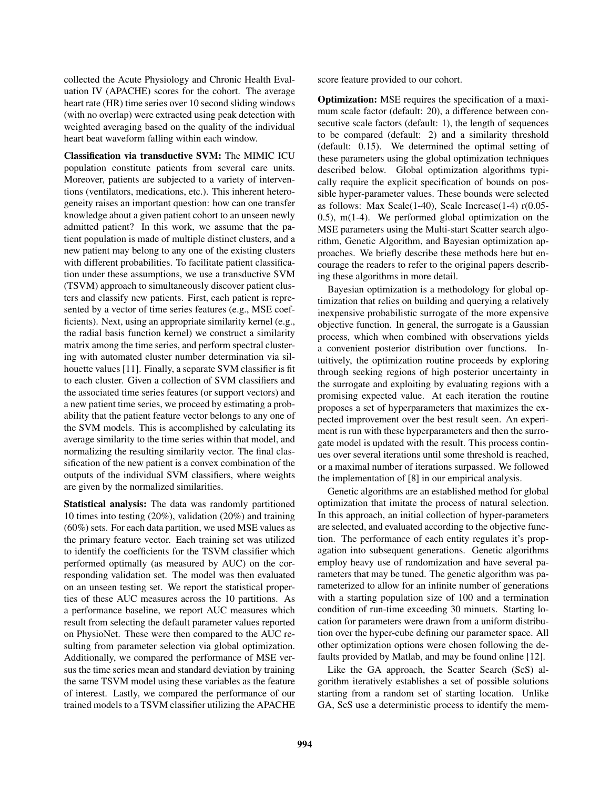collected the Acute Physiology and Chronic Health Evaluation IV (APACHE) scores for the cohort. The average heart rate (HR) time series over 10 second sliding windows (with no overlap) were extracted using peak detection with weighted averaging based on the quality of the individual heart beat waveform falling within each window.

Classification via transductive SVM: The MIMIC ICU population constitute patients from several care units. Moreover, patients are subjected to a variety of interventions (ventilators, medications, etc.). This inherent heterogeneity raises an important question: how can one transfer knowledge about a given patient cohort to an unseen newly admitted patient? In this work, we assume that the patient population is made of multiple distinct clusters, and a new patient may belong to any one of the existing clusters with different probabilities. To facilitate patient classification under these assumptions, we use a transductive SVM (TSVM) approach to simultaneously discover patient clusters and classify new patients. First, each patient is represented by a vector of time series features (e.g., MSE coefficients). Next, using an appropriate similarity kernel (e.g., the radial basis function kernel) we construct a similarity matrix among the time series, and perform spectral clustering with automated cluster number determination via silhouette values [11]. Finally, a separate SVM classifier is fit to each cluster. Given a collection of SVM classifiers and the associated time series features (or support vectors) and a new patient time series, we proceed by estimating a probability that the patient feature vector belongs to any one of the SVM models. This is accomplished by calculating its average similarity to the time series within that model, and normalizing the resulting similarity vector. The final classification of the new patient is a convex combination of the outputs of the individual SVM classifiers, where weights are given by the normalized similarities.

Statistical analysis: The data was randomly partitioned 10 times into testing (20%), validation (20%) and training (60%) sets. For each data partition, we used MSE values as the primary feature vector. Each training set was utilized to identify the coefficients for the TSVM classifier which performed optimally (as measured by AUC) on the corresponding validation set. The model was then evaluated on an unseen testing set. We report the statistical properties of these AUC measures across the 10 partitions. As a performance baseline, we report AUC measures which result from selecting the default parameter values reported on PhysioNet. These were then compared to the AUC resulting from parameter selection via global optimization. Additionally, we compared the performance of MSE versus the time series mean and standard deviation by training the same TSVM model using these variables as the feature of interest. Lastly, we compared the performance of our trained models to a TSVM classifier utilizing the APACHE score feature provided to our cohort.

Optimization: MSE requires the specification of a maximum scale factor (default: 20), a difference between consecutive scale factors (default: 1), the length of sequences to be compared (default: 2) and a similarity threshold (default: 0.15). We determined the optimal setting of these parameters using the global optimization techniques described below. Global optimization algorithms typically require the explicit specification of bounds on possible hyper-parameter values. These bounds were selected as follows: Max Scale(1-40), Scale Increase(1-4)  $r(0.05-$ 0.5), m(1-4). We performed global optimization on the MSE parameters using the Multi-start Scatter search algorithm, Genetic Algorithm, and Bayesian optimization approaches. We briefly describe these methods here but encourage the readers to refer to the original papers describing these algorithms in more detail.

Bayesian optimization is a methodology for global optimization that relies on building and querying a relatively inexpensive probabilistic surrogate of the more expensive objective function. In general, the surrogate is a Gaussian process, which when combined with observations yields a convenient posterior distribution over functions. Intuitively, the optimization routine proceeds by exploring through seeking regions of high posterior uncertainty in the surrogate and exploiting by evaluating regions with a promising expected value. At each iteration the routine proposes a set of hyperparameters that maximizes the expected improvement over the best result seen. An experiment is run with these hyperparameters and then the surrogate model is updated with the result. This process continues over several iterations until some threshold is reached, or a maximal number of iterations surpassed. We followed the implementation of [8] in our empirical analysis.

Genetic algorithms are an established method for global optimization that imitate the process of natural selection. In this approach, an initial collection of hyper-parameters are selected, and evaluated according to the objective function. The performance of each entity regulates it's propagation into subsequent generations. Genetic algorithms employ heavy use of randomization and have several parameters that may be tuned. The genetic algorithm was parameterized to allow for an infinite number of generations with a starting population size of 100 and a termination condition of run-time exceeding 30 minuets. Starting location for parameters were drawn from a uniform distribution over the hyper-cube defining our parameter space. All other optimization options were chosen following the defaults provided by Matlab, and may be found online [12].

Like the GA approach, the Scatter Search (ScS) algorithm iteratively establishes a set of possible solutions starting from a random set of starting location. Unlike GA, ScS use a deterministic process to identify the mem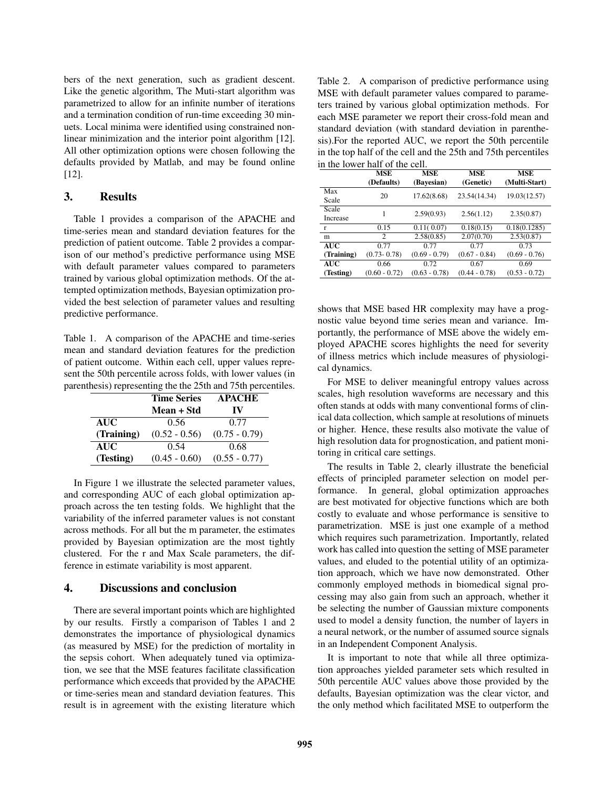bers of the next generation, such as gradient descent. Like the genetic algorithm, The Muti-start algorithm was parametrized to allow for an infinite number of iterations and a termination condition of run-time exceeding 30 minuets. Local minima were identified using constrained nonlinear minimization and the interior point algorithm [12]. All other optimization options were chosen following the defaults provided by Matlab, and may be found online [12].

## 3. Results

Table 1 provides a comparison of the APACHE and time-series mean and standard deviation features for the prediction of patient outcome. Table 2 provides a comparison of our method's predictive performance using MSE with default parameter values compared to parameters trained by various global optimization methods. Of the attempted optimization methods, Bayesian optimization provided the best selection of parameter values and resulting predictive performance.

Table 1. A comparison of the APACHE and time-series mean and standard deviation features for the prediction of patient outcome. Within each cell, upper values represent the 50th percentile across folds, with lower values (in parenthesis) representing the the 25th and 75th percentiles.

|            | <b>Time Series</b> | <b>APACHE</b>   |  |
|------------|--------------------|-----------------|--|
|            | Mean + Std         | IV              |  |
| <b>AUC</b> | 0.56               | 0.77            |  |
| (Training) | $(0.52 - 0.56)$    | $(0.75 - 0.79)$ |  |
| <b>AUC</b> | 0.54               | 0.68            |  |
| (Testing)  | $(0.45 - 0.60)$    | $(0.55 - 0.77)$ |  |

In Figure 1 we illustrate the selected parameter values, and corresponding AUC of each global optimization approach across the ten testing folds. We highlight that the variability of the inferred parameter values is not constant across methods. For all but the m parameter, the estimates provided by Bayesian optimization are the most tightly clustered. For the r and Max Scale parameters, the difference in estimate variability is most apparent.

## 4. Discussions and conclusion

There are several important points which are highlighted by our results. Firstly a comparison of Tables 1 and 2 demonstrates the importance of physiological dynamics (as measured by MSE) for the prediction of mortality in the sepsis cohort. When adequately tuned via optimization, we see that the MSE features facilitate classification performance which exceeds that provided by the APACHE or time-series mean and standard deviation features. This result is in agreement with the existing literature which

Table 2. A comparison of predictive performance using MSE with default parameter values compared to parameters trained by various global optimization methods. For each MSE parameter we report their cross-fold mean and standard deviation (with standard deviation in parenthesis).For the reported AUC, we report the 50th percentile in the top half of the cell and the 25th and 75th percentiles in the lower half of the cell.

|            | MSE             | MSE             | <b>MSE</b>      | MSE             |
|------------|-----------------|-----------------|-----------------|-----------------|
|            | (Defaults)      | (Bayesian)      | (Genetic)       | (Multi-Start)   |
| Max        | 20              | 17.62(8.68)     | 23.54(14.34)    | 19.03(12.57)    |
| Scale      |                 |                 |                 |                 |
| Scale      | 1               | 2.59(0.93)      | 2.56(1.12)      | 2.35(0.87)      |
| Increase   |                 |                 |                 |                 |
| r          | 0.15            | 0.11(0.07)      | 0.18(0.15)      | 0.18(0.1285)    |
| m          | $\overline{c}$  | 2.58(0.85)      | 2.07(0.70)      | 2.53(0.87)      |
| <b>AUC</b> | 0.77            | 0.77            | 0.77            | 0.73            |
| (Training) | $(0.73 - 0.78)$ | $(0.69 - 0.79)$ | $(0.67 - 0.84)$ | $(0.69 - 0.76)$ |
| <b>AUC</b> | 0.66            | 0.72            | 0.67            | 0.69            |
| (Testing)  | $(0.60 - 0.72)$ | $(0.63 - 0.78)$ | $(0.44 - 0.78)$ | $(0.53 - 0.72)$ |

shows that MSE based HR complexity may have a prognostic value beyond time series mean and variance. Importantly, the performance of MSE above the widely employed APACHE scores highlights the need for severity of illness metrics which include measures of physiological dynamics.

For MSE to deliver meaningful entropy values across scales, high resolution waveforms are necessary and this often stands at odds with many conventional forms of clinical data collection, which sample at resolutions of minuets or higher. Hence, these results also motivate the value of high resolution data for prognostication, and patient monitoring in critical care settings.

The results in Table 2, clearly illustrate the beneficial effects of principled parameter selection on model performance. In general, global optimization approaches are best motivated for objective functions which are both costly to evaluate and whose performance is sensitive to parametrization. MSE is just one example of a method which requires such parametrization. Importantly, related work has called into question the setting of MSE parameter values, and eluded to the potential utility of an optimization approach, which we have now demonstrated. Other commonly employed methods in biomedical signal processing may also gain from such an approach, whether it be selecting the number of Gaussian mixture components used to model a density function, the number of layers in a neural network, or the number of assumed source signals in an Independent Component Analysis.

It is important to note that while all three optimization approaches yielded parameter sets which resulted in 50th percentile AUC values above those provided by the defaults, Bayesian optimization was the clear victor, and the only method which facilitated MSE to outperform the